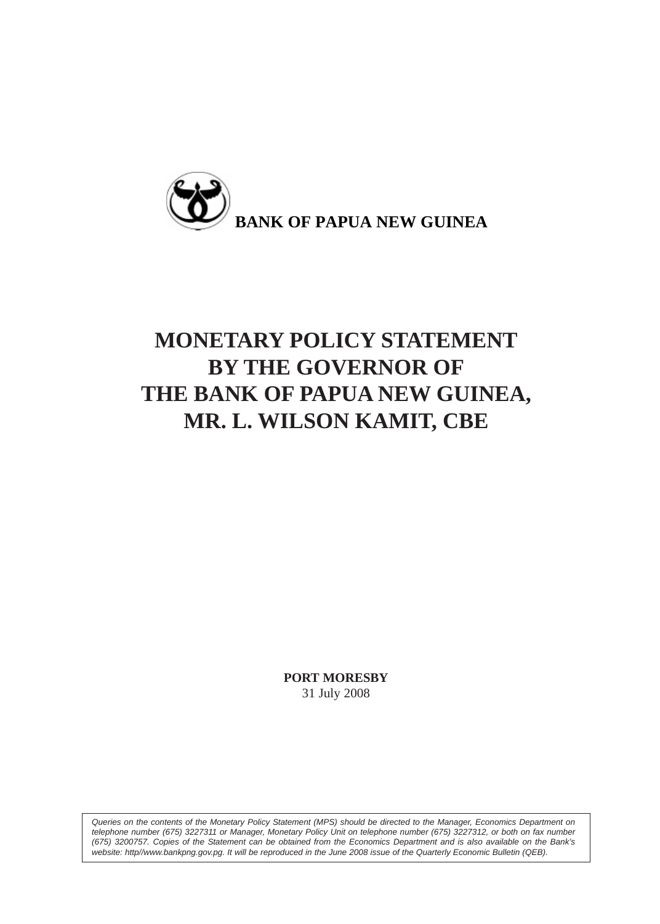

# **MONETARY POLICY STATEMENT BY THE GOVERNOR OF THE BANK OF PAPUA NEW GUINEA, MR. L. WILSON KAMIT, CBE**

**PORT MORESBY** 31 July 2008

*Queries on the contents of the Monetary Policy Statement (MPS) should be directed to the Manager, Economics Department on telephone number (675) 3227311 or Manager, Monetary Policy Unit on telephone number (675) 3227312, or both on fax number (675) 3200757. Copies of the Statement can be obtained from the Economics Department and is also available on the Bank's website: http//www.bankpng.gov.pg. It will be reproduced in the June 2008 issue of the Quarterly Economic Bulletin (QEB).*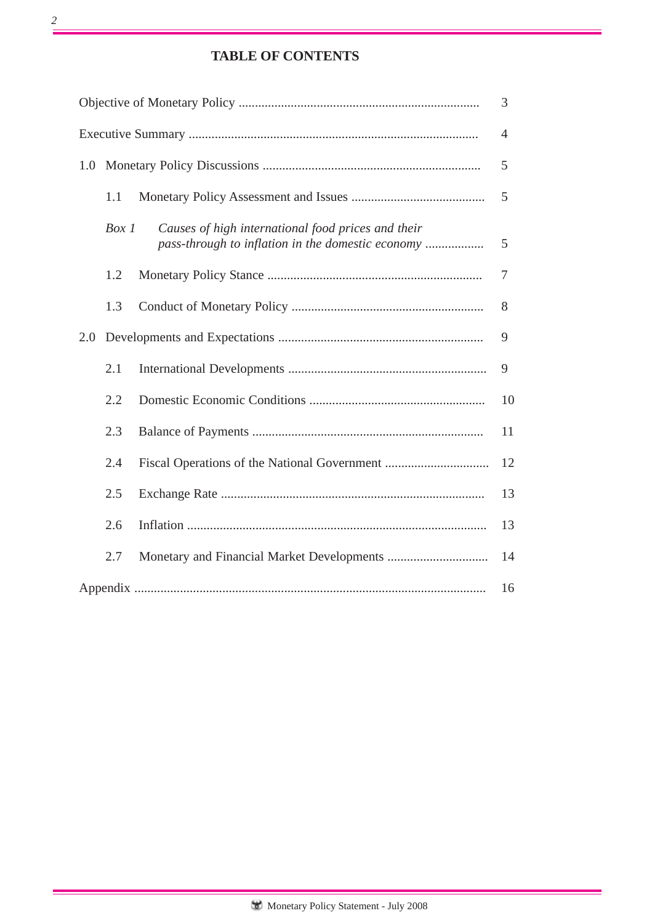# **TABLE OF CONTENTS**

| 3              |       |                                                                                                         |    |  |  |  |  |
|----------------|-------|---------------------------------------------------------------------------------------------------------|----|--|--|--|--|
| $\overline{4}$ |       |                                                                                                         |    |  |  |  |  |
| 1.0            |       |                                                                                                         | 5  |  |  |  |  |
|                | 1.1   |                                                                                                         | 5  |  |  |  |  |
|                | Box 1 | Causes of high international food prices and their<br>pass-through to inflation in the domestic economy | 5  |  |  |  |  |
|                | 1.2   |                                                                                                         | 7  |  |  |  |  |
|                | 1.3   |                                                                                                         | 8  |  |  |  |  |
| 2.0            |       |                                                                                                         |    |  |  |  |  |
|                | 2.1   |                                                                                                         | 9  |  |  |  |  |
|                | 2.2   |                                                                                                         | 10 |  |  |  |  |
|                | 2.3   |                                                                                                         | 11 |  |  |  |  |
|                | 2.4   |                                                                                                         | 12 |  |  |  |  |
|                | 2.5   |                                                                                                         | 13 |  |  |  |  |
|                | 2.6   |                                                                                                         | 13 |  |  |  |  |
|                | 2.7   |                                                                                                         | 14 |  |  |  |  |
|                | 16    |                                                                                                         |    |  |  |  |  |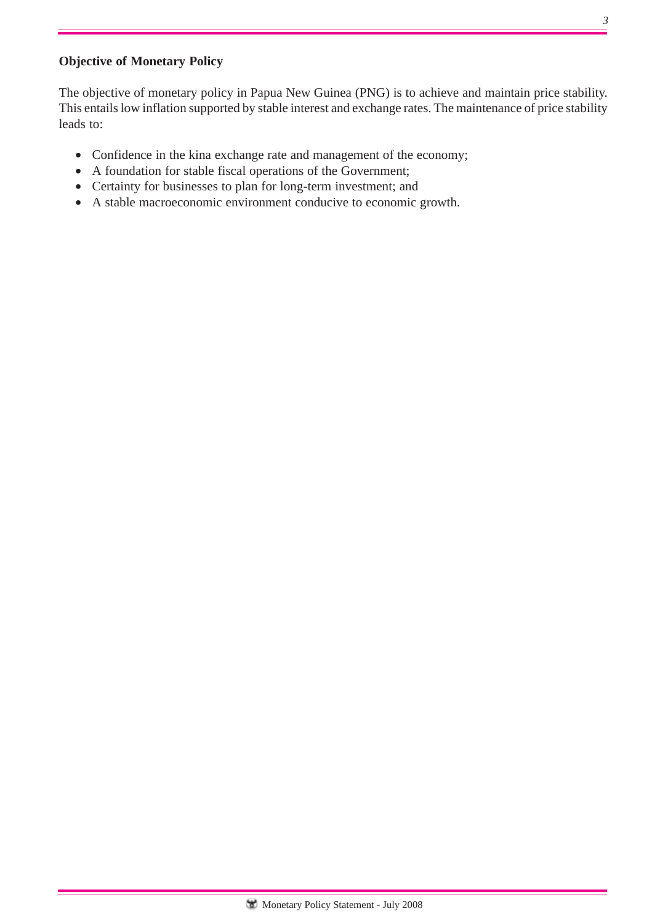## **Objective of Monetary Policy**

The objective of monetary policy in Papua New Guinea (PNG) is to achieve and maintain price stability. This entails low inflation supported by stable interest and exchange rates. The maintenance of price stability leads to:

- Confidence in the kina exchange rate and management of the economy;
- A foundation for stable fiscal operations of the Government;
- Certainty for businesses to plan for long-term investment; and
- A stable macroeconomic environment conducive to economic growth.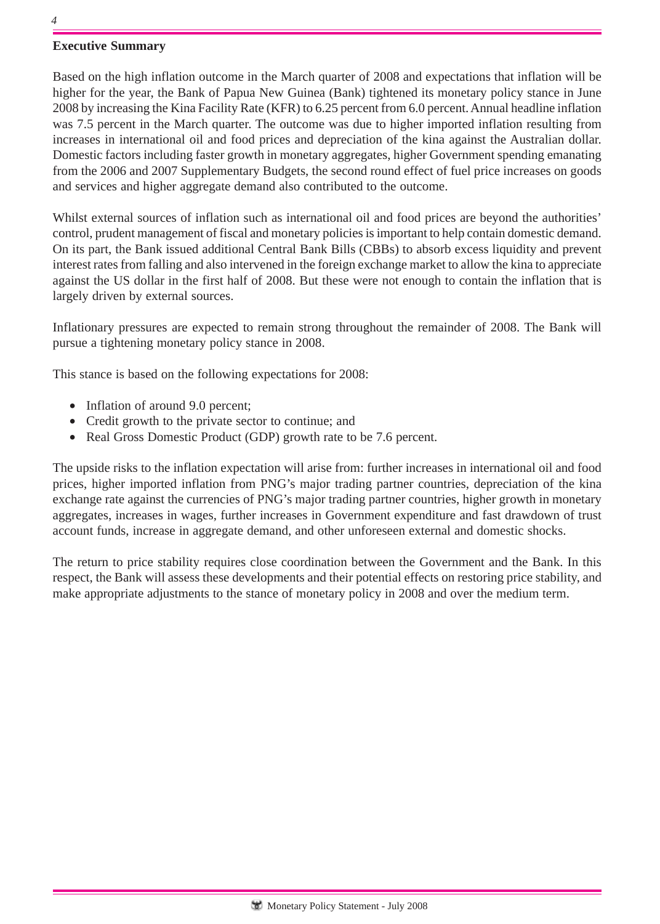## **Executive Summary**

Based on the high inflation outcome in the March quarter of 2008 and expectations that inflation will be higher for the year, the Bank of Papua New Guinea (Bank) tightened its monetary policy stance in June 2008 by increasing the Kina Facility Rate (KFR) to 6.25 percent from 6.0 percent. Annual headline inflation was 7.5 percent in the March quarter. The outcome was due to higher imported inflation resulting from increases in international oil and food prices and depreciation of the kina against the Australian dollar. Domestic factors including faster growth in monetary aggregates, higher Government spending emanating from the 2006 and 2007 Supplementary Budgets, the second round effect of fuel price increases on goods and services and higher aggregate demand also contributed to the outcome.

Whilst external sources of inflation such as international oil and food prices are beyond the authorities' control, prudent management of fiscal and monetary policies is important to help contain domestic demand. On its part, the Bank issued additional Central Bank Bills (CBBs) to absorb excess liquidity and prevent interest rates from falling and also intervened in the foreign exchange market to allow the kina to appreciate against the US dollar in the first half of 2008. But these were not enough to contain the inflation that is largely driven by external sources.

Inflationary pressures are expected to remain strong throughout the remainder of 2008. The Bank will pursue a tightening monetary policy stance in 2008.

This stance is based on the following expectations for 2008:

- Inflation of around 9.0 percent;
- Credit growth to the private sector to continue; and
- Real Gross Domestic Product (GDP) growth rate to be 7.6 percent.

The upside risks to the inflation expectation will arise from: further increases in international oil and food prices, higher imported inflation from PNG's major trading partner countries, depreciation of the kina exchange rate against the currencies of PNG's major trading partner countries, higher growth in monetary aggregates, increases in wages, further increases in Government expenditure and fast drawdown of trust account funds, increase in aggregate demand, and other unforeseen external and domestic shocks.

The return to price stability requires close coordination between the Government and the Bank. In this respect, the Bank will assess these developments and their potential effects on restoring price stability, and make appropriate adjustments to the stance of monetary policy in 2008 and over the medium term.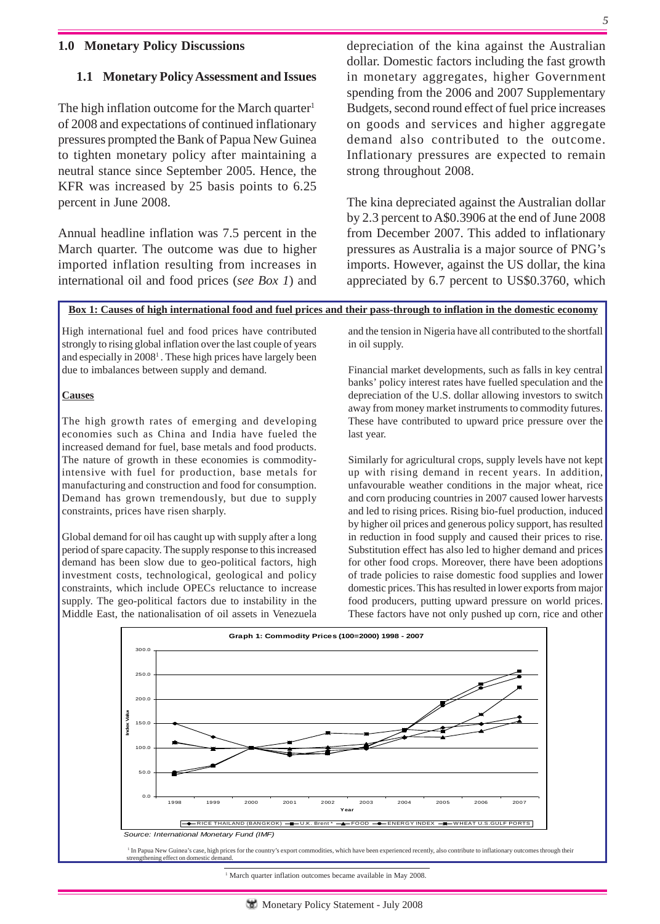#### **1.0 Monetary Policy Discussions**

#### **1.1 Monetary Policy Assessment and Issues**

The high inflation outcome for the March quarter<sup>1</sup> of 2008 and expectations of continued inflationary pressures prompted the Bank of Papua New Guinea to tighten monetary policy after maintaining a neutral stance since September 2005. Hence, the KFR was increased by 25 basis points to 6.25 percent in June 2008.

Annual headline inflation was 7.5 percent in the March quarter. The outcome was due to higher imported inflation resulting from increases in international oil and food prices (*see Box 1*) and

depreciation of the kina against the Australian dollar. Domestic factors including the fast growth in monetary aggregates, higher Government spending from the 2006 and 2007 Supplementary Budgets, second round effect of fuel price increases on goods and services and higher aggregate demand also contributed to the outcome. Inflationary pressures are expected to remain strong throughout 2008.

The kina depreciated against the Australian dollar by 2.3 percent to A\$0.3906 at the end of June 2008 from December 2007. This added to inflationary pressures as Australia is a major source of PNG's imports. However, against the US dollar, the kina appreciated by 6.7 percent to US\$0.3760, which

#### **Box 1: Causes of high international food and fuel prices and their pass-through to inflation in the domestic economy**

High international fuel and food prices have contributed strongly to rising global inflation over the last couple of years and especially in 20081 . These high prices have largely been due to imbalances between supply and demand.

#### **Causes**

The high growth rates of emerging and developing economies such as China and India have fueled the increased demand for fuel, base metals and food products. The nature of growth in these economies is commodityintensive with fuel for production, base metals for manufacturing and construction and food for consumption. Demand has grown tremendously, but due to supply constraints, prices have risen sharply.

Global demand for oil has caught up with supply after a long period of spare capacity. The supply response to this increased demand has been slow due to geo-political factors, high investment costs, technological, geological and policy constraints, which include OPECs reluctance to increase supply. The geo-political factors due to instability in the Middle East, the nationalisation of oil assets in Venezuela

strengthening effect on domestic demand

and the tension in Nigeria have all contributed to the shortfall in oil supply.

Financial market developments, such as falls in key central banks' policy interest rates have fuelled speculation and the depreciation of the U.S. dollar allowing investors to switch away from money market instruments to commodity futures. These have contributed to upward price pressure over the last year.

Similarly for agricultural crops, supply levels have not kept up with rising demand in recent years. In addition, unfavourable weather conditions in the major wheat, rice and corn producing countries in 2007 caused lower harvests and led to rising prices. Rising bio-fuel production, induced by higher oil prices and generous policy support, has resulted in reduction in food supply and caused their prices to rise. Substitution effect has also led to higher demand and prices for other food crops. Moreover, there have been adoptions of trade policies to raise domestic food supplies and lower domestic prices. This has resulted in lower exports from major food producers, putting upward pressure on world prices. These factors have not only pushed up corn, rice and other



<sup>1</sup> March quarter inflation outcomes became available in May 2008.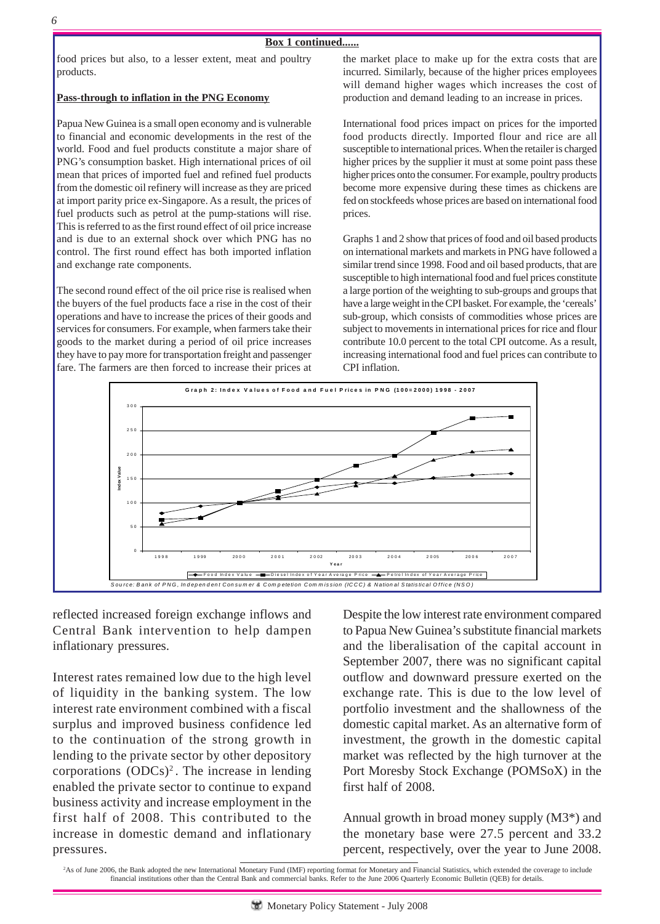#### **Box 1 continued......**

food prices but also, to a lesser extent, meat and poultry products.

#### **Pass-through to inflation in the PNG Economy**

Papua New Guinea is a small open economy and is vulnerable to financial and economic developments in the rest of the world. Food and fuel products constitute a major share of PNG's consumption basket. High international prices of oil mean that prices of imported fuel and refined fuel products from the domestic oil refinery will increase as they are priced at import parity price ex-Singapore. As a result, the prices of fuel products such as petrol at the pump-stations will rise. This is referred to as the first round effect of oil price increase and is due to an external shock over which PNG has no control. The first round effect has both imported inflation and exchange rate components.

The second round effect of the oil price rise is realised when the buyers of the fuel products face a rise in the cost of their operations and have to increase the prices of their goods and services for consumers. For example, when farmers take their goods to the market during a period of oil price increases they have to pay more for transportation freight and passenger fare. The farmers are then forced to increase their prices at the market place to make up for the extra costs that are incurred. Similarly, because of the higher prices employees will demand higher wages which increases the cost of production and demand leading to an increase in prices.

International food prices impact on prices for the imported food products directly. Imported flour and rice are all susceptible to international prices. When the retailer is charged higher prices by the supplier it must at some point pass these higher prices onto the consumer. For example, poultry products become more expensive during these times as chickens are fed on stockfeeds whose prices are based on international food prices.

Graphs 1 and 2 show that prices of food and oil based products on international markets and markets in PNG have followed a similar trend since 1998. Food and oil based products, that are susceptible to high international food and fuel prices constitute a large portion of the weighting to sub-groups and groups that have a large weight in the CPI basket. For example, the 'cereals' sub-group, which consists of commodities whose prices are subject to movements in international prices for rice and flour contribute 10.0 percent to the total CPI outcome. As a result, increasing international food and fuel prices can contribute to CPI inflation.



reflected increased foreign exchange inflows and Central Bank intervention to help dampen inflationary pressures.

Interest rates remained low due to the high level of liquidity in the banking system. The low interest rate environment combined with a fiscal surplus and improved business confidence led to the continuation of the strong growth in lending to the private sector by other depository corporations  $(ODCs)^2$ . The increase in lending enabled the private sector to continue to expand business activity and increase employment in the first half of 2008. This contributed to the increase in domestic demand and inflationary pressures.

Despite the low interest rate environment compared to Papua New Guinea's substitute financial markets and the liberalisation of the capital account in September 2007, there was no significant capital outflow and downward pressure exerted on the exchange rate. This is due to the low level of portfolio investment and the shallowness of the domestic capital market. As an alternative form of investment, the growth in the domestic capital market was reflected by the high turnover at the Port Moresby Stock Exchange (POMSoX) in the first half of 2008.

Annual growth in broad money supply (M3\*) and the monetary base were 27.5 percent and 33.2 percent, respectively, over the year to June 2008.

<sup>&</sup>lt;sup>2</sup>As of June 2006, the Bank adopted the new International Monetary Fund (IMF) reporting format for Monetary and Financial Statistics, which extended the coverage to include financial institutions other than the Central Bank and commercial banks. Refer to the June 2006 Quarterly Economic Bulletin (QEB) for details.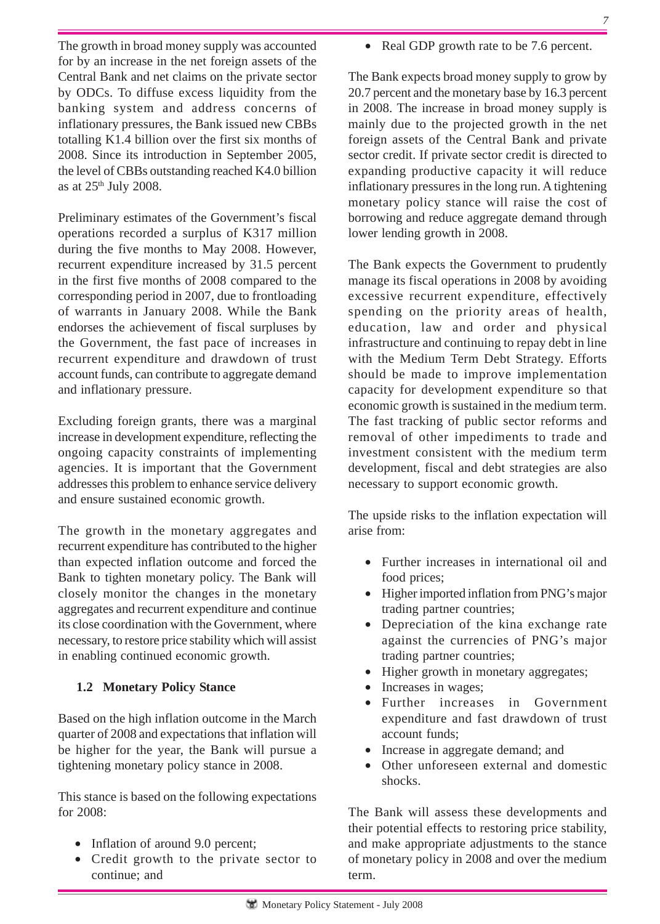aggregates and recurrent expenditure and continue its close coordination with the Government, where necessary, to restore price stability which will assist

# **1.2 Monetary Policy Stance**

in enabling continued economic growth.

Based on the high inflation outcome in the March quarter of 2008 and expectations that inflation will be higher for the year, the Bank will pursue a tightening monetary policy stance in 2008.

This stance is based on the following expectations for 2008:

- Inflation of around 9.0 percent;
- Credit growth to the private sector to continue; and

• Real GDP growth rate to be 7.6 percent.

The Bank expects broad money supply to grow by 20.7 percent and the monetary base by 16.3 percent in 2008. The increase in broad money supply is mainly due to the projected growth in the net foreign assets of the Central Bank and private sector credit. If private sector credit is directed to expanding productive capacity it will reduce inflationary pressures in the long run. A tightening monetary policy stance will raise the cost of borrowing and reduce aggregate demand through lower lending growth in 2008.

The Bank expects the Government to prudently manage its fiscal operations in 2008 by avoiding excessive recurrent expenditure, effectively spending on the priority areas of health, education, law and order and physical infrastructure and continuing to repay debt in line with the Medium Term Debt Strategy. Efforts should be made to improve implementation capacity for development expenditure so that economic growth is sustained in the medium term. The fast tracking of public sector reforms and removal of other impediments to trade and investment consistent with the medium term development, fiscal and debt strategies are also necessary to support economic growth.

The upside risks to the inflation expectation will arise from:

- Further increases in international oil and food prices;
- Higher imported inflation from PNG's major trading partner countries;
- Depreciation of the kina exchange rate against the currencies of PNG's major trading partner countries;
- Higher growth in monetary aggregates;
- Increases in wages;
- Further increases in Government expenditure and fast drawdown of trust account funds;
- Increase in aggregate demand; and
- Other unforeseen external and domestic shocks.

The Bank will assess these developments and their potential effects to restoring price stability, and make appropriate adjustments to the stance of monetary policy in 2008 and over the medium term.

The growth in broad money supply was accounted for by an increase in the net foreign assets of the Central Bank and net claims on the private sector by ODCs. To diffuse excess liquidity from the banking system and address concerns of inflationary pressures, the Bank issued new CBBs totalling K1.4 billion over the first six months of 2008. Since its introduction in September 2005, the level of CBBs outstanding reached K4.0 billion as at  $25<sup>th</sup>$  July 2008.

Preliminary estimates of the Government's fiscal operations recorded a surplus of K317 million during the five months to May 2008. However, recurrent expenditure increased by 31.5 percent in the first five months of 2008 compared to the corresponding period in 2007, due to frontloading of warrants in January 2008. While the Bank endorses the achievement of fiscal surpluses by the Government, the fast pace of increases in recurrent expenditure and drawdown of trust account funds, can contribute to aggregate demand and inflationary pressure.

Excluding foreign grants, there was a marginal increase in development expenditure, reflecting the ongoing capacity constraints of implementing agencies. It is important that the Government addresses this problem to enhance service delivery and ensure sustained economic growth.

The growth in the monetary aggregates and recurrent expenditure has contributed to the higher than expected inflation outcome and forced the Bank to tighten monetary policy. The Bank will closely monitor the changes in the monetary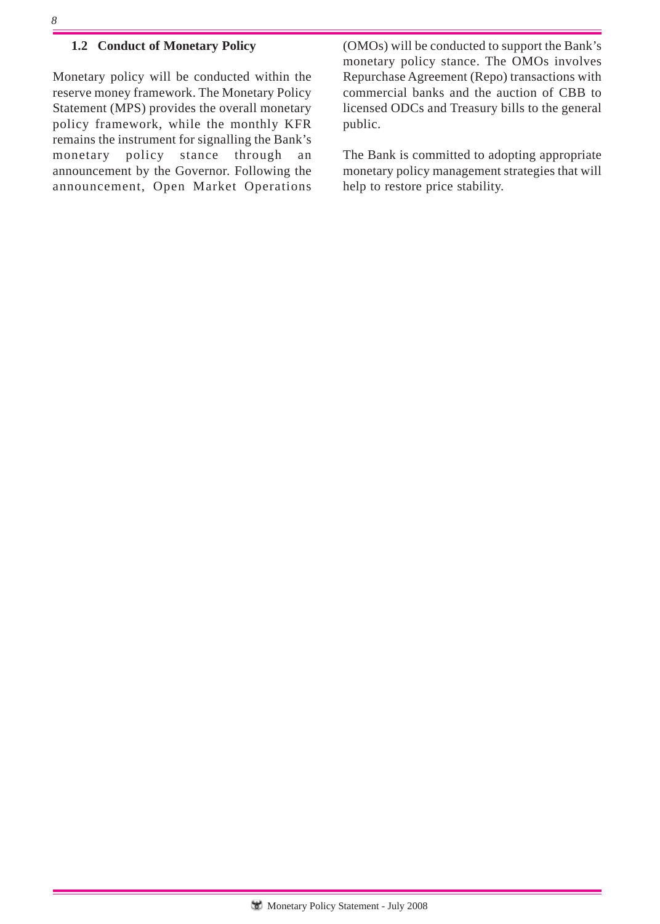## **1.2 Conduct of Monetary Policy**

Monetary policy will be conducted within the reserve money framework. The Monetary Policy Statement (MPS) provides the overall monetary policy framework, while the monthly KFR remains the instrument for signalling the Bank's monetary policy stance through an announcement by the Governor. Following the announcement, Open Market Operations (OMOs) will be conducted to support the Bank's monetary policy stance. The OMOs involves Repurchase Agreement (Repo) transactions with commercial banks and the auction of CBB to licensed ODCs and Treasury bills to the general public.

The Bank is committed to adopting appropriate monetary policy management strategies that will help to restore price stability.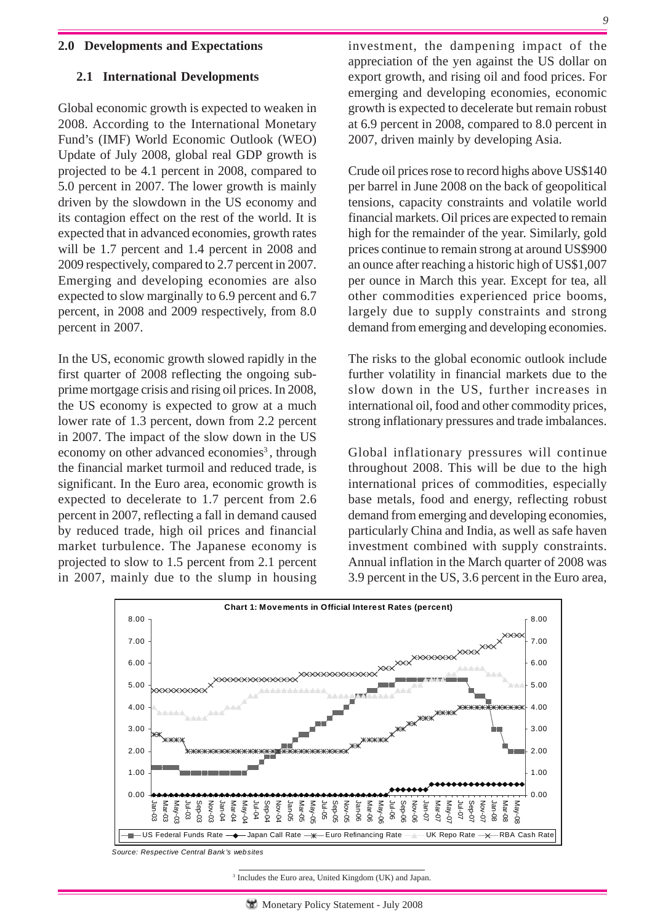#### **2.0 Developments and Expectations**

#### **2.1 International Developments**

Global economic growth is expected to weaken in 2008. According to the International Monetary Fund's (IMF) World Economic Outlook (WEO) Update of July 2008, global real GDP growth is projected to be 4.1 percent in 2008, compared to 5.0 percent in 2007. The lower growth is mainly driven by the slowdown in the US economy and its contagion effect on the rest of the world. It is expected that in advanced economies, growth rates will be 1.7 percent and 1.4 percent in 2008 and 2009 respectively, compared to 2.7 percent in 2007. Emerging and developing economies are also expected to slow marginally to 6.9 percent and 6.7 percent, in 2008 and 2009 respectively, from 8.0 percent in 2007.

In the US, economic growth slowed rapidly in the first quarter of 2008 reflecting the ongoing subprime mortgage crisis and rising oil prices. In 2008, the US economy is expected to grow at a much lower rate of 1.3 percent, down from 2.2 percent in 2007. The impact of the slow down in the US economy on other advanced economies<sup>3</sup>, through the financial market turmoil and reduced trade, is significant. In the Euro area, economic growth is expected to decelerate to 1.7 percent from 2.6 percent in 2007, reflecting a fall in demand caused by reduced trade, high oil prices and financial market turbulence. The Japanese economy is projected to slow to 1.5 percent from 2.1 percent in 2007, mainly due to the slump in housing investment, the dampening impact of the appreciation of the yen against the US dollar on export growth, and rising oil and food prices. For emerging and developing economies, economic growth is expected to decelerate but remain robust at 6.9 percent in 2008, compared to 8.0 percent in 2007, driven mainly by developing Asia.

Crude oil prices rose to record highs above US\$140 per barrel in June 2008 on the back of geopolitical tensions, capacity constraints and volatile world financial markets. Oil prices are expected to remain high for the remainder of the year. Similarly, gold prices continue to remain strong at around US\$900 an ounce after reaching a historic high of US\$1,007 per ounce in March this year. Except for tea, all other commodities experienced price booms, largely due to supply constraints and strong demand from emerging and developing economies.

The risks to the global economic outlook include further volatility in financial markets due to the slow down in the US, further increases in international oil, food and other commodity prices, strong inflationary pressures and trade imbalances.

Global inflationary pressures will continue throughout 2008. This will be due to the high international prices of commodities, especially base metals, food and energy, reflecting robust demand from emerging and developing economies, particularly China and India, as well as safe haven investment combined with supply constraints. Annual inflation in the March quarter of 2008 was 3.9 percent in the US, 3.6 percent in the Euro area,



*Source: Respective Central Bank 's websites*

3 Includes the Euro area, United Kingdom (UK) and Japan.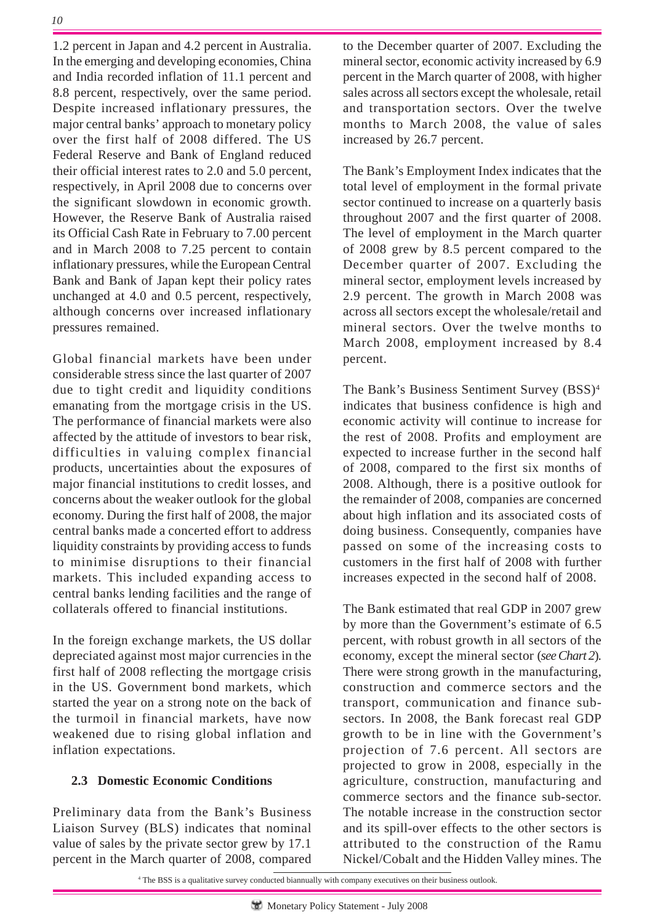1.2 percent in Japan and 4.2 percent in Australia. In the emerging and developing economies, China and India recorded inflation of 11.1 percent and 8.8 percent, respectively, over the same period. Despite increased inflationary pressures, the major central banks' approach to monetary policy over the first half of 2008 differed. The US Federal Reserve and Bank of England reduced their official interest rates to 2.0 and 5.0 percent, respectively, in April 2008 due to concerns over the significant slowdown in economic growth. However, the Reserve Bank of Australia raised its Official Cash Rate in February to 7.00 percent and in March 2008 to 7.25 percent to contain inflationary pressures, while the European Central Bank and Bank of Japan kept their policy rates unchanged at 4.0 and 0.5 percent, respectively, although concerns over increased inflationary pressures remained.

Global financial markets have been under considerable stress since the last quarter of 2007 due to tight credit and liquidity conditions emanating from the mortgage crisis in the US. The performance of financial markets were also affected by the attitude of investors to bear risk, difficulties in valuing complex financial products, uncertainties about the exposures of major financial institutions to credit losses, and concerns about the weaker outlook for the global economy. During the first half of 2008, the major central banks made a concerted effort to address liquidity constraints by providing access to funds to minimise disruptions to their financial markets. This included expanding access to central banks lending facilities and the range of collaterals offered to financial institutions.

In the foreign exchange markets, the US dollar depreciated against most major currencies in the first half of 2008 reflecting the mortgage crisis in the US. Government bond markets, which started the year on a strong note on the back of the turmoil in financial markets, have now weakened due to rising global inflation and inflation expectations.

# **2.3 Domestic Economic Conditions**

Preliminary data from the Bank's Business Liaison Survey (BLS) indicates that nominal value of sales by the private sector grew by 17.1 percent in the March quarter of 2008, compared

to the December quarter of 2007. Excluding the mineral sector, economic activity increased by 6.9 percent in the March quarter of 2008, with higher sales across all sectors except the wholesale, retail and transportation sectors. Over the twelve months to March 2008, the value of sales increased by 26.7 percent.

The Bank's Employment Index indicates that the total level of employment in the formal private sector continued to increase on a quarterly basis throughout 2007 and the first quarter of 2008. The level of employment in the March quarter of 2008 grew by 8.5 percent compared to the December quarter of 2007. Excluding the mineral sector, employment levels increased by 2.9 percent. The growth in March 2008 was across all sectors except the wholesale/retail and mineral sectors. Over the twelve months to March 2008, employment increased by 8.4 percent.

The Bank's Business Sentiment Survey (BSS)4 indicates that business confidence is high and economic activity will continue to increase for the rest of 2008. Profits and employment are expected to increase further in the second half of 2008, compared to the first six months of 2008. Although, there is a positive outlook for the remainder of 2008, companies are concerned about high inflation and its associated costs of doing business. Consequently, companies have passed on some of the increasing costs to customers in the first half of 2008 with further increases expected in the second half of 2008.

The Bank estimated that real GDP in 2007 grew by more than the Government's estimate of 6.5 percent, with robust growth in all sectors of the economy, except the mineral sector (*see Chart 2*). There were strong growth in the manufacturing, construction and commerce sectors and the transport, communication and finance subsectors. In 2008, the Bank forecast real GDP growth to be in line with the Government's projection of 7.6 percent. All sectors are projected to grow in 2008, especially in the agriculture, construction, manufacturing and commerce sectors and the finance sub-sector. The notable increase in the construction sector and its spill-over effects to the other sectors is attributed to the construction of the Ramu Nickel/Cobalt and the Hidden Valley mines. The

4 The BSS is a qualitative survey conducted biannually with company executives on their business outlook.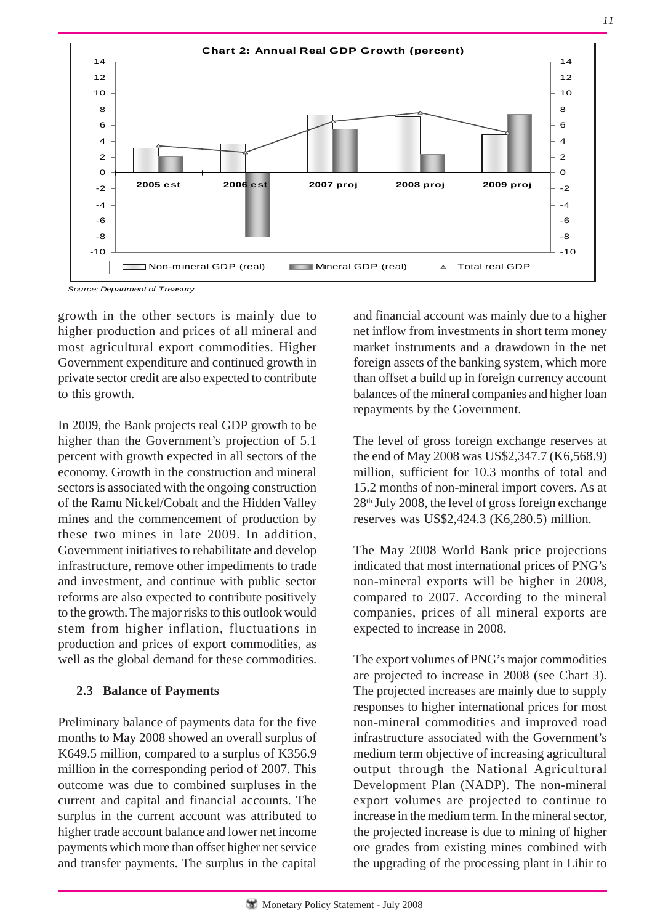

*Source: Department of Treasury*

growth in the other sectors is mainly due to higher production and prices of all mineral and most agricultural export commodities. Higher Government expenditure and continued growth in private sector credit are also expected to contribute to this growth.

In 2009, the Bank projects real GDP growth to be higher than the Government's projection of 5.1 percent with growth expected in all sectors of the economy. Growth in the construction and mineral sectors is associated with the ongoing construction of the Ramu Nickel/Cobalt and the Hidden Valley mines and the commencement of production by these two mines in late 2009. In addition, Government initiatives to rehabilitate and develop infrastructure, remove other impediments to trade and investment, and continue with public sector reforms are also expected to contribute positively to the growth. The major risks to this outlook would stem from higher inflation, fluctuations in production and prices of export commodities, as well as the global demand for these commodities.

## **2.3 Balance of Payments**

Preliminary balance of payments data for the five months to May 2008 showed an overall surplus of K649.5 million, compared to a surplus of K356.9 million in the corresponding period of 2007. This outcome was due to combined surpluses in the current and capital and financial accounts. The surplus in the current account was attributed to higher trade account balance and lower net income payments which more than offset higher net service and transfer payments. The surplus in the capital

and financial account was mainly due to a higher net inflow from investments in short term money market instruments and a drawdown in the net foreign assets of the banking system, which more than offset a build up in foreign currency account balances of the mineral companies and higher loan repayments by the Government.

*11*

The level of gross foreign exchange reserves at the end of May 2008 was US\$2,347.7 (K6,568.9) million, sufficient for 10.3 months of total and 15.2 months of non-mineral import covers. As at  $28<sup>th</sup>$  July 2008, the level of gross foreign exchange reserves was US\$2,424.3 (K6,280.5) million.

The May 2008 World Bank price projections indicated that most international prices of PNG's non-mineral exports will be higher in 2008, compared to 2007. According to the mineral companies, prices of all mineral exports are expected to increase in 2008.

The export volumes of PNG's major commodities are projected to increase in 2008 (see Chart 3). The projected increases are mainly due to supply responses to higher international prices for most non-mineral commodities and improved road infrastructure associated with the Government's medium term objective of increasing agricultural output through the National Agricultural Development Plan (NADP). The non-mineral export volumes are projected to continue to increase in the medium term. In the mineral sector, the projected increase is due to mining of higher ore grades from existing mines combined with the upgrading of the processing plant in Lihir to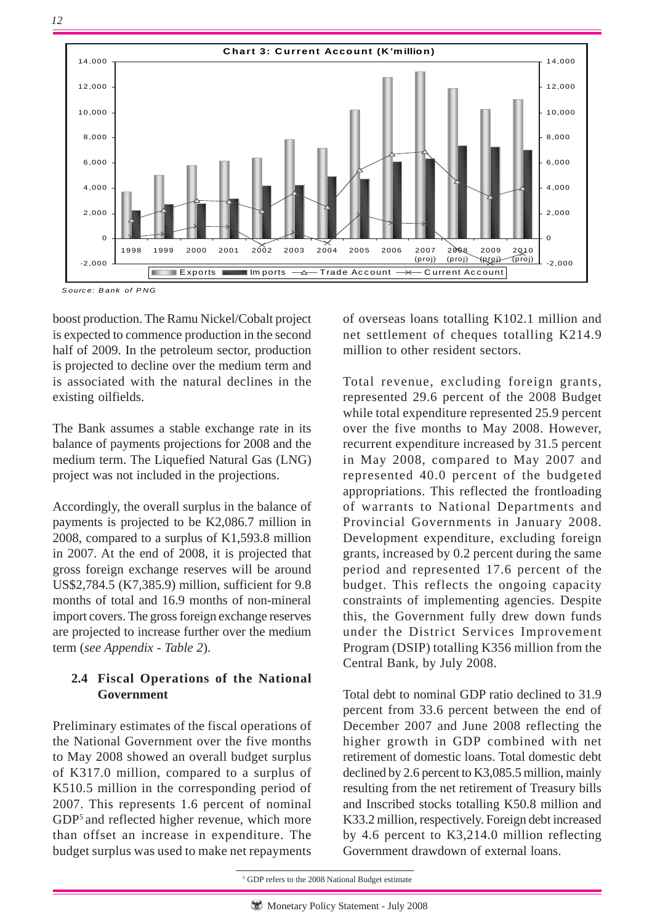

*S ource: B ank of P NG*

boost production. The Ramu Nickel/Cobalt project is expected to commence production in the second half of 2009. In the petroleum sector, production is projected to decline over the medium term and is associated with the natural declines in the existing oilfields.

The Bank assumes a stable exchange rate in its balance of payments projections for 2008 and the medium term. The Liquefied Natural Gas (LNG) project was not included in the projections.

Accordingly, the overall surplus in the balance of payments is projected to be K2,086.7 million in 2008, compared to a surplus of K1,593.8 million in 2007. At the end of 2008, it is projected that gross foreign exchange reserves will be around US\$2,784.5 (K7,385.9) million, sufficient for 9.8 months of total and 16.9 months of non-mineral import covers. The gross foreign exchange reserves are projected to increase further over the medium term (*see Appendix - Table 2*).

## **2.4 Fiscal Operations of the National Government**

Preliminary estimates of the fiscal operations of the National Government over the five months to May 2008 showed an overall budget surplus of K317.0 million, compared to a surplus of K510.5 million in the corresponding period of 2007. This represents 1.6 percent of nominal GDP<sup>5</sup> and reflected higher revenue, which more than offset an increase in expenditure. The budget surplus was used to make net repayments

of overseas loans totalling K102.1 million and net settlement of cheques totalling K214.9 million to other resident sectors.

Total revenue, excluding foreign grants, represented 29.6 percent of the 2008 Budget while total expenditure represented 25.9 percent over the five months to May 2008. However, recurrent expenditure increased by 31.5 percent in May 2008, compared to May 2007 and represented 40.0 percent of the budgeted appropriations. This reflected the frontloading of warrants to National Departments and Provincial Governments in January 2008. Development expenditure, excluding foreign grants, increased by 0.2 percent during the same period and represented 17.6 percent of the budget. This reflects the ongoing capacity constraints of implementing agencies. Despite this, the Government fully drew down funds under the District Services Improvement Program (DSIP) totalling K356 million from the Central Bank, by July 2008.

Total debt to nominal GDP ratio declined to 31.9 percent from 33.6 percent between the end of December 2007 and June 2008 reflecting the higher growth in GDP combined with net retirement of domestic loans. Total domestic debt declined by 2.6 percent to K3,085.5 million, mainly resulting from the net retirement of Treasury bills and Inscribed stocks totalling K50.8 million and K33.2 million, respectively. Foreign debt increased by 4.6 percent to K3,214.0 million reflecting Government drawdown of external loans.

<sup>&</sup>lt;sup>5</sup> GDP refers to the 2008 National Budget estimate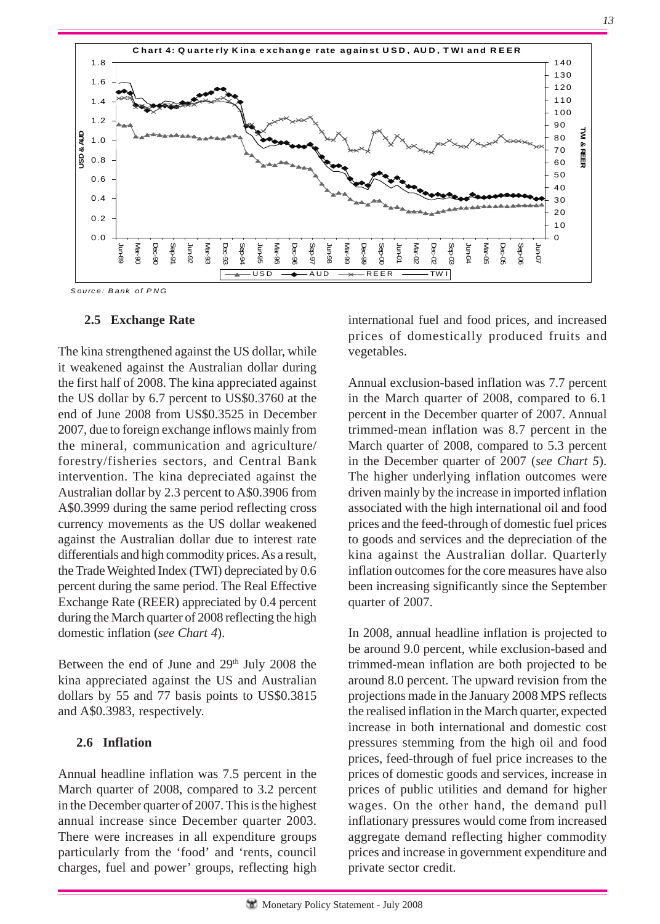

*S ourc e: B ank of P NG*

## **2.5 Exchange Rate**

The kina strengthened against the US dollar, while it weakened against the Australian dollar during the first half of 2008. The kina appreciated against the US dollar by 6.7 percent to US\$0.3760 at the end of June 2008 from US\$0.3525 in December 2007, due to foreign exchange inflows mainly from the mineral, communication and agriculture/ forestry/fisheries sectors, and Central Bank intervention. The kina depreciated against the Australian dollar by 2.3 percent to A\$0.3906 from A\$0.3999 during the same period reflecting cross currency movements as the US dollar weakened against the Australian dollar due to interest rate differentials and high commodity prices. As a result, the Trade Weighted Index (TWI) depreciated by 0.6 percent during the same period. The Real Effective Exchange Rate (REER) appreciated by 0.4 percent during the March quarter of 2008 reflecting the high domestic inflation (*see Chart 4*).

Between the end of June and 29<sup>th</sup> July 2008 the kina appreciated against the US and Australian dollars by 55 and 77 basis points to US\$0.3815 and A\$0.3983, respectively.

## **2.6 Inflation**

Annual headline inflation was 7.5 percent in the March quarter of 2008, compared to 3.2 percent in the December quarter of 2007. This is the highest annual increase since December quarter 2003. There were increases in all expenditure groups particularly from the 'food' and 'rents, council charges, fuel and power' groups, reflecting high international fuel and food prices, and increased prices of domestically produced fruits and vegetables.

Annual exclusion-based inflation was 7.7 percent in the March quarter of 2008, compared to 6.1 percent in the December quarter of 2007. Annual trimmed-mean inflation was 8.7 percent in the March quarter of 2008, compared to 5.3 percent in the December quarter of 2007 (*see Chart 5*). The higher underlying inflation outcomes were driven mainly by the increase in imported inflation associated with the high international oil and food prices and the feed-through of domestic fuel prices to goods and services and the depreciation of the kina against the Australian dollar. Quarterly inflation outcomes for the core measures have also been increasing significantly since the September quarter of 2007.

In 2008, annual headline inflation is projected to be around 9.0 percent, while exclusion-based and trimmed-mean inflation are both projected to be around 8.0 percent. The upward revision from the projections made in the January 2008 MPS reflects the realised inflation in the March quarter, expected increase in both international and domestic cost pressures stemming from the high oil and food prices, feed-through of fuel price increases to the prices of domestic goods and services, increase in prices of public utilities and demand for higher wages. On the other hand, the demand pull inflationary pressures would come from increased aggregate demand reflecting higher commodity prices and increase in government expenditure and private sector credit.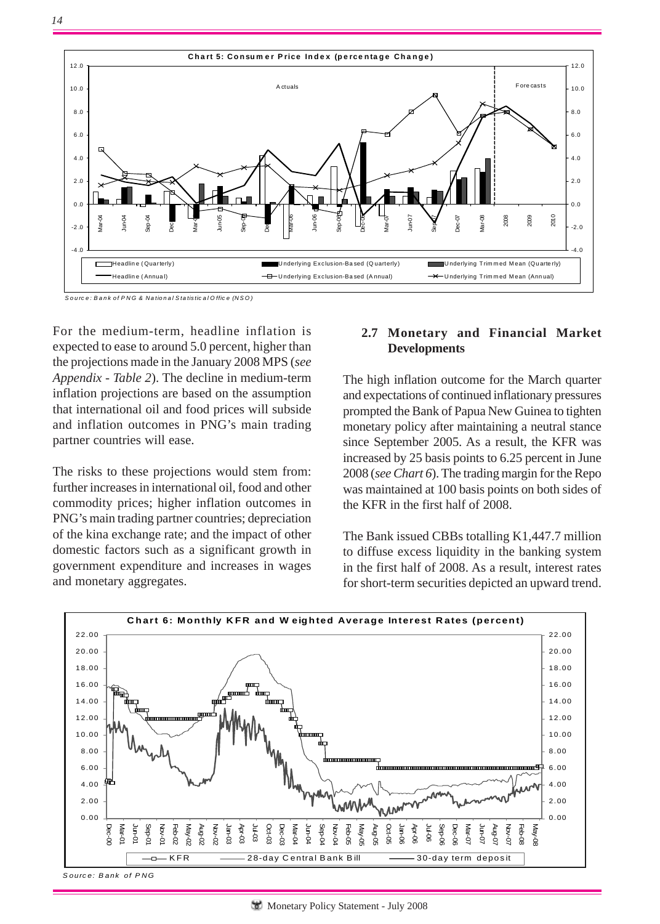

*S o u rc e : B a n k o f P N G & Na tio n a l S ta tistic a l O ffic e (N S O )*

For the medium-term, headline inflation is expected to ease to around 5.0 percent, higher than the projections made in the January 2008 MPS (*see Appendix - Table 2*). The decline in medium-term inflation projections are based on the assumption that international oil and food prices will subside and inflation outcomes in PNG's main trading partner countries will ease.

The risks to these projections would stem from: further increases in international oil, food and other commodity prices; higher inflation outcomes in PNG's main trading partner countries; depreciation of the kina exchange rate; and the impact of other domestic factors such as a significant growth in government expenditure and increases in wages and monetary aggregates.

## **2.7 Monetary and Financial Market Developments**

The high inflation outcome for the March quarter and expectations of continued inflationary pressures prompted the Bank of Papua New Guinea to tighten monetary policy after maintaining a neutral stance since September 2005. As a result, the KFR was increased by 25 basis points to 6.25 percent in June 2008 (*see Chart 6*). The trading margin for the Repo was maintained at 100 basis points on both sides of the KFR in the first half of 2008.

The Bank issued CBBs totalling K1,447.7 million to diffuse excess liquidity in the banking system in the first half of 2008. As a result, interest rates for short-term securities depicted an upward trend.



*S ource: B ank of P NG*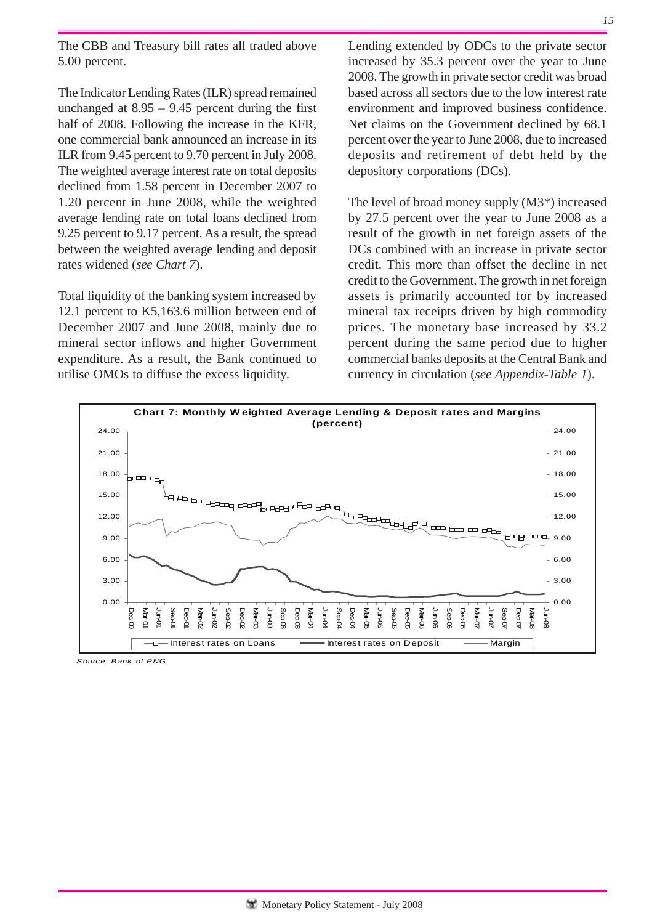The CBB and Treasury bill rates all traded above 5.00 percent.

The Indicator Lending Rates (ILR) spread remained unchanged at  $8.95 - 9.45$  percent during the first half of 2008. Following the increase in the KFR, one commercial bank announced an increase in its ILR from 9.45 percent to 9.70 percent in July 2008. The weighted average interest rate on total deposits declined from 1.58 percent in December 2007 to 1.20 percent in June 2008, while the weighted average lending rate on total loans declined from 9.25 percent to 9.17 percent. As a result, the spread between the weighted average lending and deposit rates widened (*see Chart 7*).

Total liquidity of the banking system increased by 12.1 percent to K5,163.6 million between end of December 2007 and June 2008, mainly due to mineral sector inflows and higher Government expenditure. As a result, the Bank continued to utilise OMOs to diffuse the excess liquidity.

Lending extended by ODCs to the private sector increased by 35.3 percent over the year to June 2008. The growth in private sector credit was broad based across all sectors due to the low interest rate environment and improved business confidence. Net claims on the Government declined by 68.1 percent over the year to June 2008, due to increased deposits and retirement of debt held by the depository corporations (DCs).

The level of broad money supply (M3\*) increased by 27.5 percent over the year to June 2008 as a result of the growth in net foreign assets of the DCs combined with an increase in private sector credit. This more than offset the decline in net credit to the Government. The growth in net foreign assets is primarily accounted for by increased mineral tax receipts driven by high commodity prices. The monetary base increased by 33.2 percent during the same period due to higher commercial banks deposits at the Central Bank and currency in circulation (*see Appendix-Table 1*).



*Source: Bank of PNG*